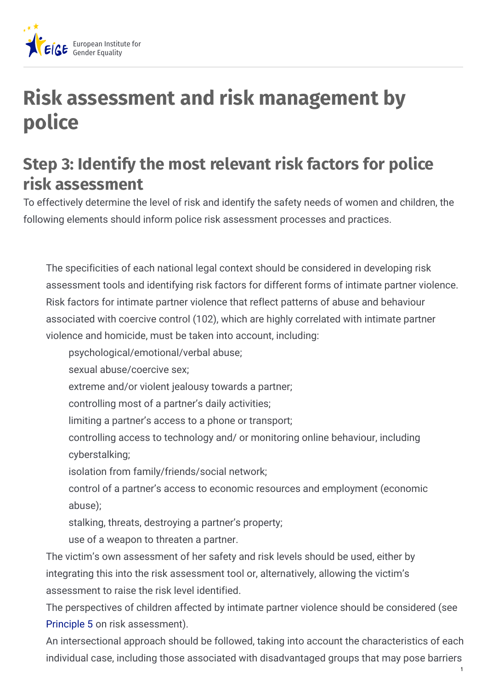

## **Risk assessment and risk management by police**

## **Step 3: Identify the most relevant risk factors for police risk assessment**

To effectively determine the level of risk and identify the safety needs of women and children, the following elements should inform police risk assessment processes and practices.

The specificities of each national legal context should be considered in developing risk assessment tools and identifying risk factors for different forms of intimate partner violence. Risk factors for intimate partner violence that reflect patterns of abuse and behaviour associated with coercive control (102), which are highly correlated with intimate partner violence and homicide, must be taken into account, including:

- psychological/emotional/verbal abuse;
- sexual abuse/coercive sex;
- extreme and/or violent jealousy towards a partner;
- controlling most of a partner's daily activities;
- limiting a partner's access to a phone or transport;
- controlling access to technology and/ or monitoring online behaviour, including cyberstalking;
- isolation from family/friends/social network;
- control of a partner's access to economic resources and employment (economic abuse);
- stalking, threats, destroying a partner's property;
- use of a weapon to threaten a partner.

The victim's own assessment of her safety and risk levels should be used, either by integrating this into the risk assessment tool or, alternatively, allowing the victim's assessment to raise the risk level identified.

The perspectives of children affected by intimate partner violence should be considered (see [Principle](https://eige.europa.eu/principle-5-considering-childrens-experiences-intimate-partner-violence?lang=mt) 5 on risk assessment).

An intersectional approach should be followed, taking into account the characteristics of each individual case, including those associated with disadvantaged groups that may pose barriers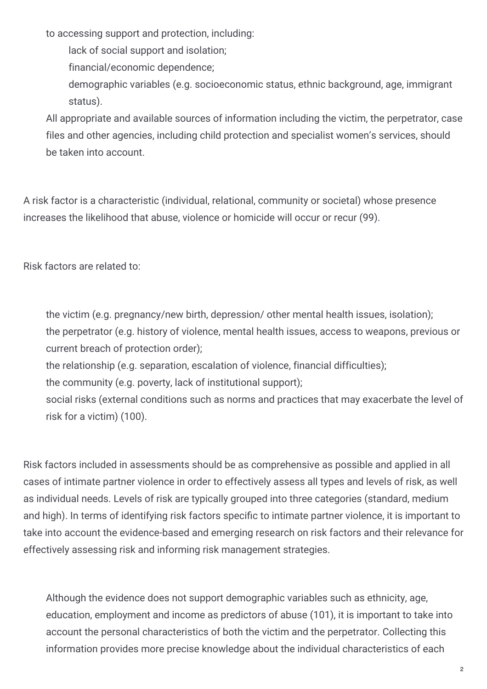to accessing support and protection, including:

lack of social support and isolation;

financial/economic dependence;

demographic variables (e.g. socioeconomic status, ethnic background, age, immigrant status).

All appropriate and available sources of information including the victim, the perpetrator, case files and other agencies, including child protection and specialist women's services, should be taken into account.

A risk factor is a characteristic (individual, relational, community or societal) whose presence increases the likelihood that abuse, violence or homicide will occur or recur (99).

Risk factors are related to:

the victim (e.g. pregnancy/new birth, depression/ other mental health issues, isolation); the perpetrator (e.g. history of violence, mental health issues, access to weapons, previous or current breach of protection order);

the relationship (e.g. separation, escalation of violence, financial difficulties);

the community (e.g. poverty, lack of institutional support);

social risks (external conditions such as norms and practices that may exacerbate the level of risk for a victim) (100).

Risk factors included in assessments should be as comprehensive as possible and applied in all cases of intimate partner violence in order to effectively assess all types and levels of risk, as well as individual needs. Levels of risk are typically grouped into three categories (standard, medium and high). In terms of identifying risk factors specific to intimate partner violence, it is important to take into account the evidence-based and emerging research on risk factors and their relevance for effectively assessing risk and informing risk management strategies.

Although the evidence does not support demographic variables such as ethnicity, age, education, employment and income as predictors of abuse (101), it is important to take into account the personal characteristics of both the victim and the perpetrator. Collecting this information provides more precise knowledge about the individual characteristics of each